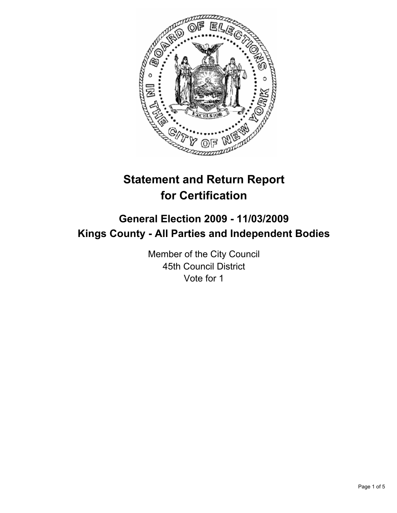

# **Statement and Return Report for Certification**

# **General Election 2009 - 11/03/2009 Kings County - All Parties and Independent Bodies**

Member of the City Council 45th Council District Vote for 1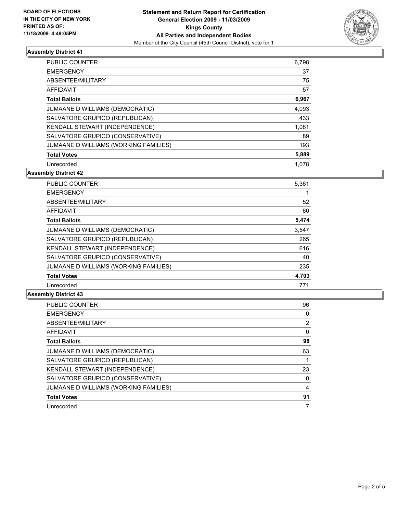

## **Assembly District 41**

| <b>PUBLIC COUNTER</b>                 | 6,798 |
|---------------------------------------|-------|
| <b>EMERGENCY</b>                      | 37    |
| ABSENTEE/MILITARY                     | 75    |
| AFFIDAVIT                             | 57    |
| <b>Total Ballots</b>                  | 6,967 |
| JUMAANE D WILLIAMS (DEMOCRATIC)       | 4,093 |
| SALVATORE GRUPICO (REPUBLICAN)        | 433   |
| <b>KENDALL STEWART (INDEPENDENCE)</b> | 1,081 |
| SALVATORE GRUPICO (CONSERVATIVE)      | 89    |
| JUMAANE D WILLIAMS (WORKING FAMILIES) | 193   |
| <b>Total Votes</b>                    | 5,889 |
| Unrecorded                            | 1.078 |

**Assembly District 42**

| <b>PUBLIC COUNTER</b>                 | 5,361 |
|---------------------------------------|-------|
| <b>EMERGENCY</b>                      |       |
| ABSENTEE/MILITARY                     | 52    |
| <b>AFFIDAVIT</b>                      | 60    |
| <b>Total Ballots</b>                  | 5,474 |
| JUMAANE D WILLIAMS (DEMOCRATIC)       | 3,547 |
| SALVATORE GRUPICO (REPUBLICAN)        | 265   |
| <b>KENDALL STEWART (INDEPENDENCE)</b> | 616   |
| SALVATORE GRUPICO (CONSERVATIVE)      | 40    |
| JUMAANE D WILLIAMS (WORKING FAMILIES) | 235   |
| <b>Total Votes</b>                    | 4,703 |
| Unrecorded                            | 771   |

#### **Assembly District 43**

| <b>PUBLIC COUNTER</b>                 | 96             |
|---------------------------------------|----------------|
| <b>EMERGENCY</b>                      | 0              |
| ABSENTEE/MILITARY                     | $\overline{2}$ |
| <b>AFFIDAVIT</b>                      | 0              |
| <b>Total Ballots</b>                  | 98             |
| JUMAANE D WILLIAMS (DEMOCRATIC)       | 63             |
| SALVATORE GRUPICO (REPUBLICAN)        |                |
| KENDALL STEWART (INDEPENDENCE)        | 23             |
| SALVATORE GRUPICO (CONSERVATIVE)      | 0              |
| JUMAANE D WILLIAMS (WORKING FAMILIES) | 4              |
| <b>Total Votes</b>                    | 91             |
| Unrecorded                            | 7              |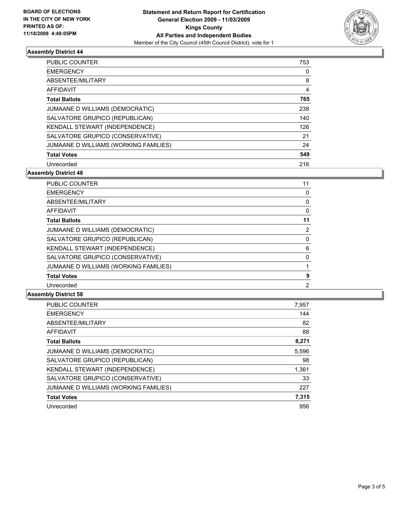

## **Assembly District 44**

| <b>PUBLIC COUNTER</b>                 | 753 |
|---------------------------------------|-----|
| <b>EMERGENCY</b>                      | 0   |
| ABSENTEE/MILITARY                     | 8   |
| AFFIDAVIT                             | 4   |
| <b>Total Ballots</b>                  | 765 |
| JUMAANE D WILLIAMS (DEMOCRATIC)       | 238 |
| SALVATORE GRUPICO (REPUBLICAN)        | 140 |
| KENDALL STEWART (INDEPENDENCE)        | 126 |
| SALVATORE GRUPICO (CONSERVATIVE)      | 21  |
| JUMAANE D WILLIAMS (WORKING FAMILIES) | 24  |
| <b>Total Votes</b>                    | 549 |
| Unrecorded                            | 216 |

**Assembly District 48**

| <b>PUBLIC COUNTER</b>                 | 11          |
|---------------------------------------|-------------|
| <b>EMERGENCY</b>                      | 0           |
| ABSENTEE/MILITARY                     | 0           |
| AFFIDAVIT                             | 0           |
| <b>Total Ballots</b>                  | 11          |
| JUMAANE D WILLIAMS (DEMOCRATIC)       | 2           |
| SALVATORE GRUPICO (REPUBLICAN)        | 0           |
| KENDALL STEWART (INDEPENDENCE)        | 6           |
| SALVATORE GRUPICO (CONSERVATIVE)      | $\mathbf 0$ |
| JUMAANE D WILLIAMS (WORKING FAMILIES) |             |
| <b>Total Votes</b>                    | 9           |
| Unrecorded                            | 2           |

#### **Assembly District 58**

| <b>PUBLIC COUNTER</b>                 | 7,957 |
|---------------------------------------|-------|
| <b>EMERGENCY</b>                      | 144   |
| <b>ABSENTEE/MILITARY</b>              | 82    |
| <b>AFFIDAVIT</b>                      | 88    |
| <b>Total Ballots</b>                  | 8,271 |
| JUMAANE D WILLIAMS (DEMOCRATIC)       | 5,596 |
| SALVATORE GRUPICO (REPUBLICAN)        | 98    |
| KENDALL STEWART (INDEPENDENCE)        | 1,361 |
| SALVATORE GRUPICO (CONSERVATIVE)      | 33    |
| JUMAANE D WILLIAMS (WORKING FAMILIES) | 227   |
| <b>Total Votes</b>                    | 7,315 |
| Unrecorded                            | 956   |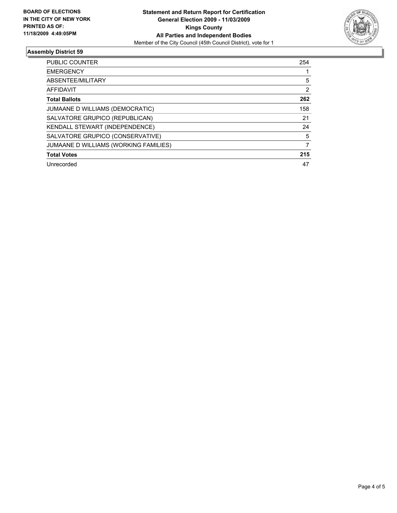

## **Assembly District 59**

| <b>PUBLIC COUNTER</b>                 | 254 |
|---------------------------------------|-----|
| <b>EMERGENCY</b>                      |     |
| ABSENTEE/MILITARY                     | 5   |
| <b>AFFIDAVIT</b>                      | 2   |
| <b>Total Ballots</b>                  | 262 |
| JUMAANE D WILLIAMS (DEMOCRATIC)       | 158 |
| SALVATORE GRUPICO (REPUBLICAN)        | 21  |
| KENDALL STEWART (INDEPENDENCE)        | 24  |
| SALVATORE GRUPICO (CONSERVATIVE)      | 5   |
| JUMAANE D WILLIAMS (WORKING FAMILIES) | 7   |
| <b>Total Votes</b>                    | 215 |
| Unrecorded                            | 47  |